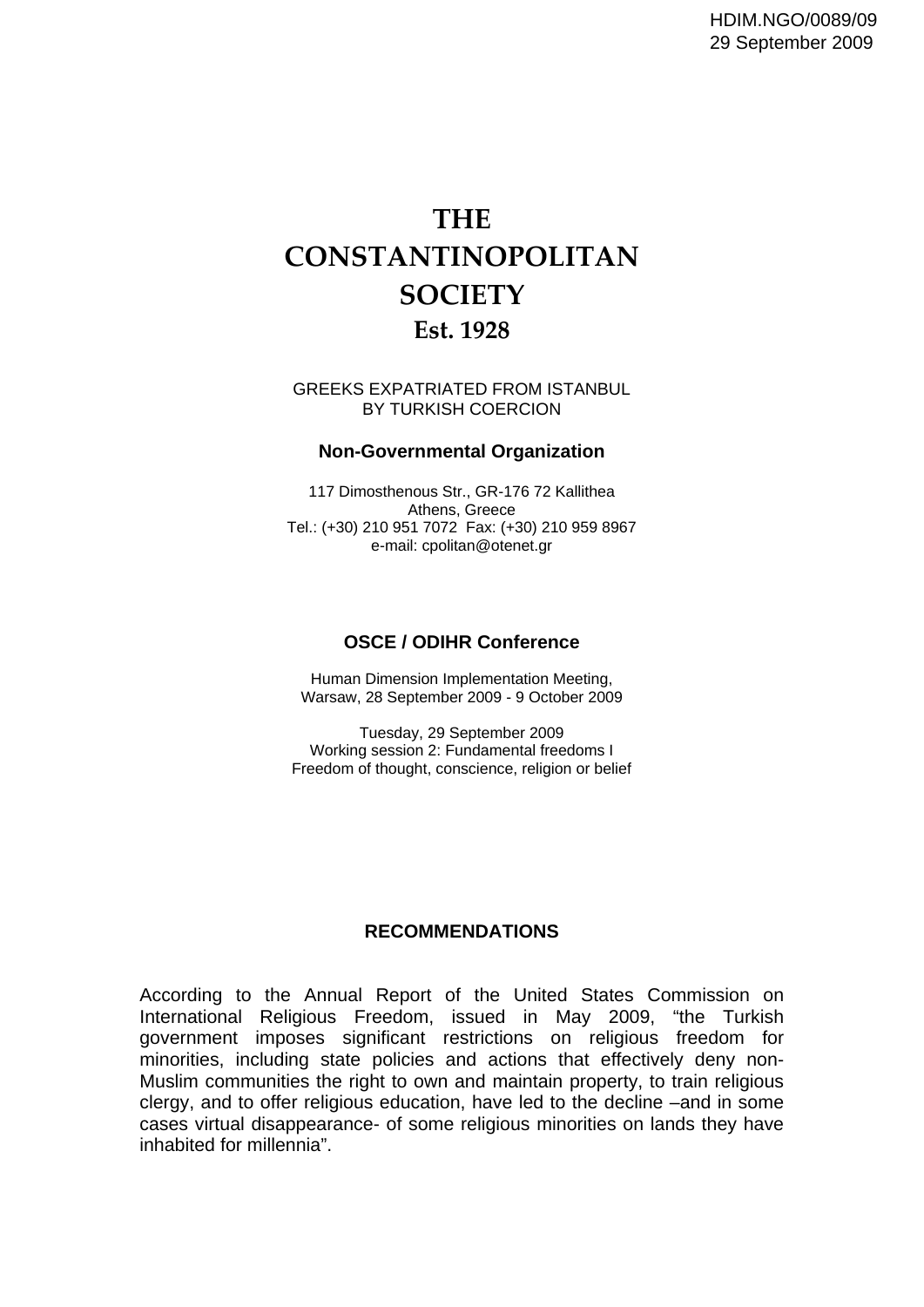## **THE CONSTANTINOPOLITAN SOCIETY Est. 1928**

GREEKS EXPATRIATED FROM ISTANBUL BY TURKISH COERCION

## **Non-Governmental Organization**

117 Dimosthenous Str., GR-176 72 Kallithea Athens, Greece Tel.: (+30) 210 951 7072 Fax: (+30) 210 959 8967 e-mail: cpolitan@otenet.gr

## **OSCE / ODIHR Conference**

Human Dimension Implementation Meeting, Warsaw, 28 September 2009 - 9 October 2009

Tuesday, 29 September 2009 Working session 2: Fundamental freedoms I Freedom of thought, conscience, religion or belief

## **RECOMMENDATIONS**

According to the Annual Report of the United States Commission on International Religious Freedom, issued in May 2009, "the Turkish government imposes significant restrictions on religious freedom for minorities, including state policies and actions that effectively deny non-Muslim communities the right to own and maintain property, to train religious clergy, and to offer religious education, have led to the decline –and in some cases virtual disappearance- of some religious minorities on lands they have inhabited for millennia".